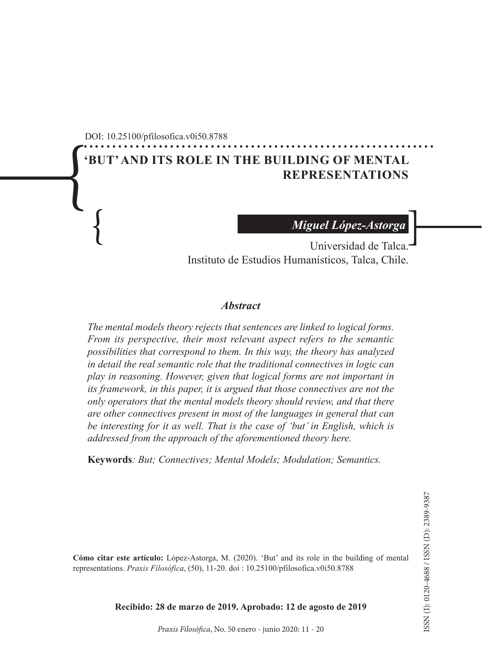............................................................. DOI: 10.25100/pfilosofica.v0i50.8788

# $\int\left( \begin{array}{c}% \nabla\phi\end{array}% \right) \phi\left( \begin{array}{c}% \nabla\phi\end{array}% \right) \phi\left( \begin{array}{c}% \nabla\phi\end{array}% \right) \phi\left( \begin{array}{c}% \nabla\phi\end{array}% \right) \phi\left( \begin{array}{c}% \nabla\phi\end{array}% \right) \phi\left( \begin{array}{c}% \nabla\phi\end{array}% \right) \phi\left( \begin{array}{c}% \nabla\phi\end{array}% \right) \phi\left( \begin{array}{c}% \nabla\phi\end{array}% \right) \phi\left( \begin{array}{c}%$ **'BUT' AND ITS ROLE IN THE BUILDING OF MENTAL REPRESENTATIONS**

*Miguel López-Astorga*

Miguel López-Astorga<br>Universidad de Talca. Universidad de Talca. Instituto de Estudios Humanísticos, Talca, Chile.

#### *Abstract*

*The mental models theory rejects that sentences are linked to logical forms. From its perspective, their most relevant aspect refers to the semantic possibilities that correspond to them. In this way, the theory has analyzed in detail the real semantic role that the traditional connectives in logic can play in reasoning. However, given that logical forms are not important in its framework, in this paper, it is argued that those connectives are not the only operators that the mental models theory should review, and that there are other connectives present in most of the languages in general that can be interesting for it as well. That is the case of 'but' in English, which is addressed from the approach of the aforementioned theory here.*

**Keywords***: But; Connectives; Mental Models; Modulation; Semantics.*

**Cómo citar este artículo:** López-Astorga, M. (2020). 'But' and its role in the building of mental representations. *Praxis Filosófica*, (50), 11-20. doi : 10.25100/pfilosofica.v0i50.8788

**Recibido: 28 de marzo de 2019. Aprobado: 12 de agosto de 2019**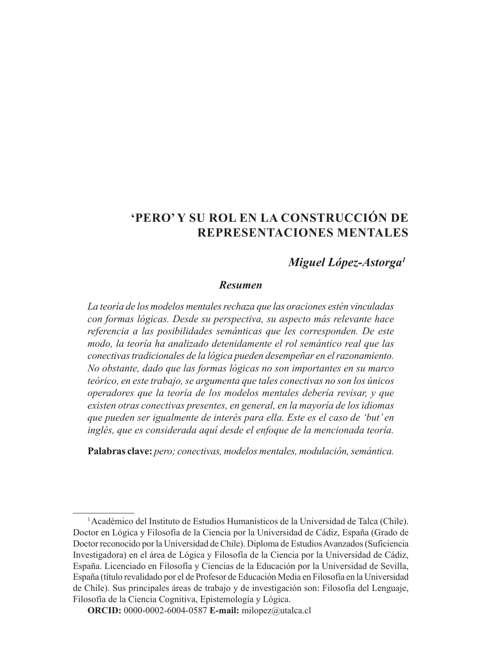## **'PERO' Y SU ROL EN LA CONSTRUCCIÓN DE REPRESENTACIONES MENTALES**

### *Miguel López-Astorga1*

#### *Resumen*

*La teoría de los modelos mentales rechaza que las oraciones estén vinculadas con formas lógicas. Desde su perspectiva, su aspecto más relevante hace referencia a las posibilidades semánticas que les corresponden. De este modo, la teoría ha analizado detenidamente el rol semántico real que las conectivas tradicionales de la lógica pueden desempeñar en el razonamiento. No obstante, dado que las formas lógicas no son importantes en su marco teórico, en este trabajo, se argumenta que tales conectivas no son los únicos operadores que la teoría de los modelos mentales debería revisar, y que existen otras conectivas presentes, en general, en la mayoría de los idiomas que pueden ser igualmente de interés para ella. Este es el caso de 'but' en inglés, que es considerada aquí desde el enfoque de la mencionada teoría.* 

**Palabras clave:** *pero; conectivas, modelos mentales, modulación, semántica.*

<sup>&</sup>lt;sup>1</sup> Académico del Instituto de Estudios Humanísticos de la Universidad de Talca (Chile). Doctor en Lógica y Filosofía de la Ciencia por la Universidad de Cádiz, España (Grado de Doctor reconocido por la Universidad de Chile). Diploma de Estudios Avanzados (Suficiencia Investigadora) en el área de Lógica y Filosofía de la Ciencia por la Universidad de Cádiz, España. Licenciado en Filosofía y Ciencias de la Educación por la Universidad de Sevilla, España (título revalidado por el de Profesor de Educación Media en Filosofía en la Universidad de Chile). Sus principales áreas de trabajo y de investigación son: Filosofía del Lenguaje, Filosofía de la Ciencia Cognitiva, Epistemología y Lógica.

**ORCID:** 0000-0002-6004-0587 **E-mail:** milopez@utalca.cl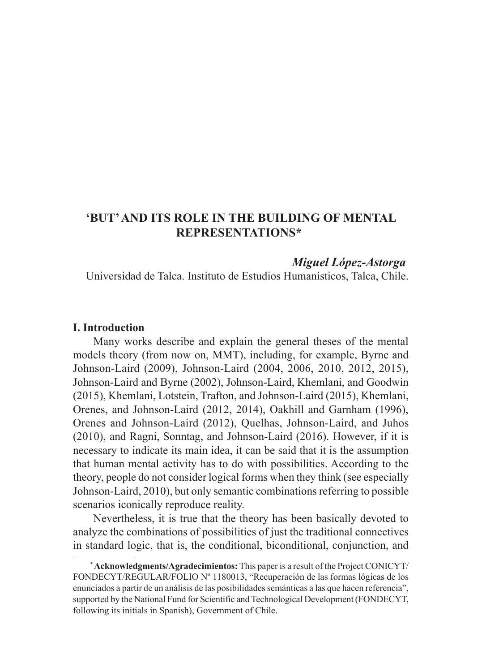## **'BUT' AND ITS ROLE IN THE BUILDING OF MENTAL REPRESENTATIONS\***

#### *Miguel López-Astorga*

Universidad de Talca. Instituto de Estudios Humanísticos, Talca, Chile.

#### **I. Introduction**

Many works describe and explain the general theses of the mental models theory (from now on, MMT), including, for example, Byrne and Johnson-Laird (2009), Johnson-Laird (2004, 2006, 2010, 2012, 2015), Johnson-Laird and Byrne (2002), Johnson-Laird, Khemlani, and Goodwin (2015), Khemlani, Lotstein, Trafton, and Johnson-Laird (2015), Khemlani, Orenes, and Johnson-Laird (2012, 2014), Oakhill and Garnham (1996), Orenes and Johnson-Laird (2012), Quelhas, Johnson-Laird, and Juhos (2010), and Ragni, Sonntag, and Johnson-Laird (2016). However, if it is necessary to indicate its main idea, it can be said that it is the assumption that human mental activity has to do with possibilities. According to the theory, people do not consider logical forms when they think (see especially Johnson-Laird, 2010), but only semantic combinations referring to possible scenarios iconically reproduce reality.

Nevertheless, it is true that the theory has been basically devoted to analyze the combinations of possibilities of just the traditional connectives in standard logic, that is, the conditional, biconditional, conjunction, and

<sup>\*</sup> **Acknowledgments/Agradecimientos:** This paper is a result of the Project CONICYT/ FONDECYT/REGULAR/FOLIO Nº 1180013, "Recuperación de las formas lógicas de los enunciados a partir de un análisis de las posibilidades semánticas a las que hacen referencia", supported by the National Fund for Scientific and Technological Development (FONDECYT, following its initials in Spanish), Government of Chile.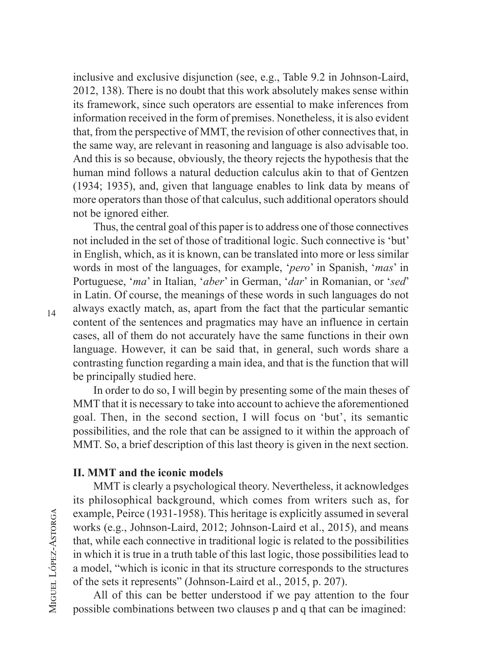inclusive and exclusive disjunction (see, e.g., Table 9.2 in Johnson-Laird, 2012, 138). There is no doubt that this work absolutely makes sense within its framework, since such operators are essential to make inferences from information received in the form of premises. Nonetheless, it is also evident that, from the perspective of MMT, the revision of other connectives that, in the same way, are relevant in reasoning and language is also advisable too. And this is so because, obviously, the theory rejects the hypothesis that the human mind follows a natural deduction calculus akin to that of Gentzen (1934; 1935), and, given that language enables to link data by means of more operators than those of that calculus, such additional operators should not be ignored either.

Thus, the central goal of this paper is to address one of those connectives not included in the set of those of traditional logic. Such connective is 'but' in English, which, as it is known, can be translated into more or less similar words in most of the languages, for example, '*pero*' in Spanish, '*mas*' in Portuguese, '*ma*' in Italian, '*aber*' in German, '*dar*' in Romanian, or '*sed*' in Latin. Of course, the meanings of these words in such languages do not always exactly match, as, apart from the fact that the particular semantic content of the sentences and pragmatics may have an influence in certain cases, all of them do not accurately have the same functions in their own language. However, it can be said that, in general, such words share a contrasting function regarding a main idea, and that is the function that will be principally studied here.

In order to do so, I will begin by presenting some of the main theses of MMT that it is necessary to take into account to achieve the aforementioned goal. Then, in the second section, I will focus on 'but', its semantic possibilities, and the role that can be assigned to it within the approach of MMT. So, a brief description of this last theory is given in the next section.

#### **II. MMT and the iconic models**

MMT is clearly a psychological theory. Nevertheless, it acknowledges its philosophical background, which comes from writers such as, for example, Peirce (1931-1958). This heritage is explicitly assumed in several works (e.g., Johnson-Laird, 2012; Johnson-Laird et al., 2015), and means that, while each connective in traditional logic is related to the possibilities in which it is true in a truth table of this last logic, those possibilities lead to a model, "which is iconic in that its structure corresponds to the structures of the sets it represents" (Johnson-Laird et al., 2015, p. 207).

All of this can be better understood if we pay attention to the four possible combinations between two clauses p and q that can be imagined:

14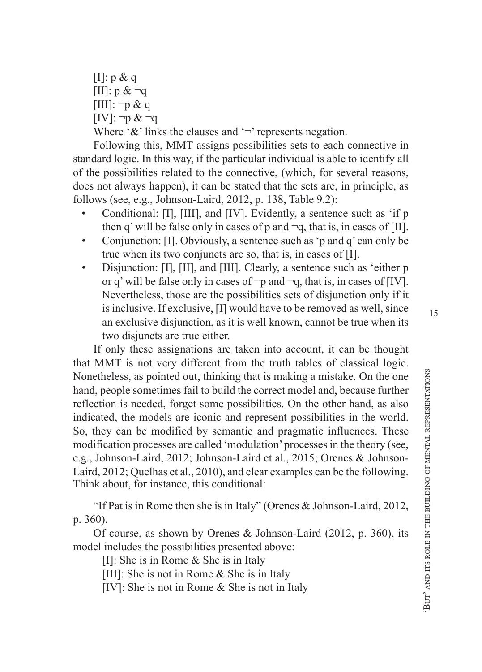$[I]: p \& q$  $[III]$ : p  $& \neg q$  $[III]$ : ¬p & q  $[IV]: \neg p \& \neg q$ Where ' $\&$ ' links the clauses and ' $\neg$ ' represents negation.

Following this, MMT assigns possibilities sets to each connective in standard logic. In this way, if the particular individual is able to identify all of the possibilities related to the connective, (which, for several reasons, does not always happen), it can be stated that the sets are, in principle, as follows (see, e.g., Johnson-Laird, 2012, p. 138, Table 9.2):

- Conditional: [I], [III], and [IV]. Evidently, a sentence such as 'if p then q' will be false only in cases of p and  $\neg q$ , that is, in cases of [II].
- Conjunction: [I]. Obviously, a sentence such as 'p and q' can only be true when its two conjuncts are so, that is, in cases of [I].
- Disjunction: [I], [II], and [III]. Clearly, a sentence such as 'either p or q' will be false only in cases of  $\neg p$  and  $\neg q$ , that is, in cases of [IV]. Nevertheless, those are the possibilities sets of disjunction only if it is inclusive. If exclusive, [I] would have to be removed as well, since an exclusive disjunction, as it is well known, cannot be true when its two disjuncts are true either.

If only these assignations are taken into account, it can be thought that MMT is not very different from the truth tables of classical logic. Nonetheless, as pointed out, thinking that is making a mistake. On the one hand, people sometimes fail to build the correct model and, because further reflection is needed, forget some possibilities. On the other hand, as also indicated, the models are iconic and represent possibilities in the world. So, they can be modified by semantic and pragmatic influences. These modification processes are called 'modulation' processes in the theory (see, e.g., Johnson-Laird, 2012; Johnson-Laird et al., 2015; Orenes & Johnson-Laird, 2012; Quelhas et al., 2010), and clear examples can be the following. Think about, for instance, this conditional:

"If Pat is in Rome then she is in Italy" (Orenes & Johnson-Laird, 2012, p. 360).

Of course, as shown by Orenes & Johnson-Laird (2012, p. 360), its model includes the possibilities presented above:

[I]: She is in Rome & She is in Italy

[III]: She is not in Rome & She is in Italy

[IV]: She is not in Rome & She is not in Italy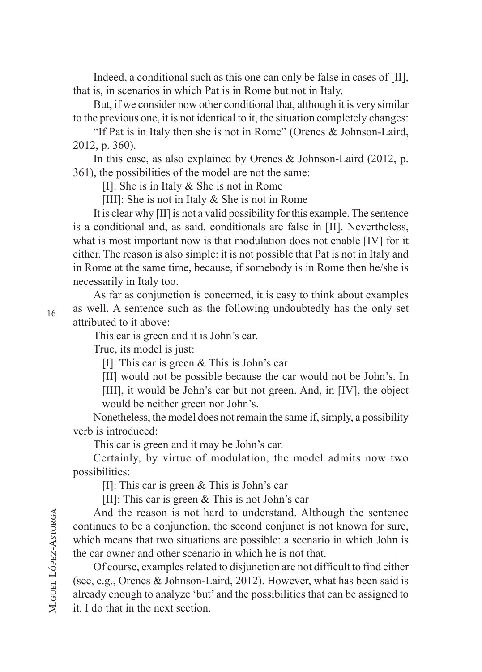Indeed, a conditional such as this one can only be false in cases of [II], that is, in scenarios in which Pat is in Rome but not in Italy.

But, if we consider now other conditional that, although it is very similar to the previous one, it is not identical to it, the situation completely changes:

"If Pat is in Italy then she is not in Rome" (Orenes & Johnson-Laird, 2012, p. 360).

In this case, as also explained by Orenes & Johnson-Laird (2012, p. 361), the possibilities of the model are not the same:

[I]: She is in Italy & She is not in Rome

[III]: She is not in Italy & She is not in Rome

It is clear why [II] is not a valid possibility for this example. The sentence is a conditional and, as said, conditionals are false in [II]. Nevertheless, what is most important now is that modulation does not enable [IV] for it either. The reason is also simple: it is not possible that Pat is not in Italy and in Rome at the same time, because, if somebody is in Rome then he/she is necessarily in Italy too.

As far as conjunction is concerned, it is easy to think about examples as well. A sentence such as the following undoubtedly has the only set attributed to it above:

This car is green and it is John's car.

True, its model is just:

[I]: This car is green & This is John's car

[II] would not be possible because the car would not be John's. In

[III], it would be John's car but not green. And, in [IV], the object would be neither green nor John's.

Nonetheless, the model does not remain the same if, simply, a possibility verb is introduced:

This car is green and it may be John's car.

Certainly, by virtue of modulation, the model admits now two possibilities:

[I]: This car is green & This is John's car

[II]: This car is green & This is not John's car

And the reason is not hard to understand. Although the sentence continues to be a conjunction, the second conjunct is not known for sure, which means that two situations are possible: a scenario in which John is the car owner and other scenario in which he is not that.

Of course, examples related to disjunction are not difficult to find either (see, e.g., Orenes & Johnson-Laird, 2012). However, what has been said is already enough to analyze 'but' and the possibilities that can be assigned to it. I do that in the next section.

16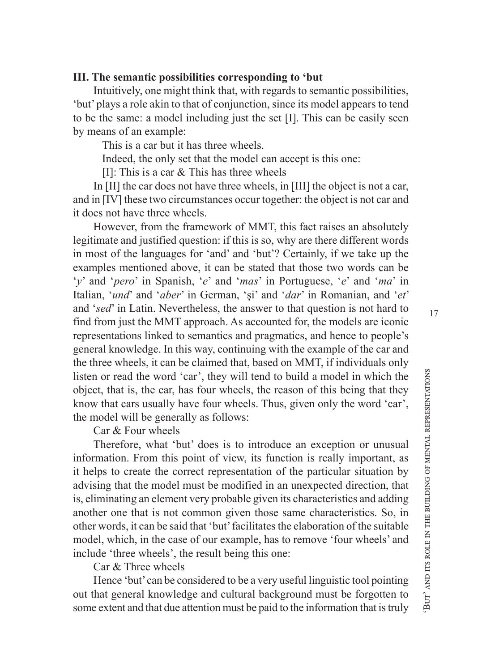#### **III. The semantic possibilities corresponding to 'but**

Intuitively, one might think that, with regards to semantic possibilities, 'but' plays a role akin to that of conjunction, since its model appears to tend to be the same: a model including just the set [I]. This can be easily seen by means of an example:

This is a car but it has three wheels.

Indeed, the only set that the model can accept is this one:

[I]: This is a car & This has three wheels

In [II] the car does not have three wheels, in [III] the object is not a car, and in [IV] these two circumstances occur together: the object is not car and it does not have three wheels.

However, from the framework of MMT, this fact raises an absolutely legitimate and justified question: if this is so, why are there different words in most of the languages for 'and' and 'but'? Certainly, if we take up the examples mentioned above, it can be stated that those two words can be '*y*' and '*pero*' in Spanish, '*e*' and '*mas*' in Portuguese, '*e*' and '*ma*' in Italian, '*und*' and '*aber*' in German, 'și' and '*dar*' in Romanian, and '*et*' and '*sed*' in Latin. Nevertheless, the answer to that question is not hard to find from just the MMT approach. As accounted for, the models are iconic representations linked to semantics and pragmatics, and hence to people's general knowledge. In this way, continuing with the example of the car and the three wheels, it can be claimed that, based on MMT, if individuals only listen or read the word 'car', they will tend to build a model in which the object, that is, the car, has four wheels, the reason of this being that they know that cars usually have four wheels. Thus, given only the word 'car', the model will be generally as follows:

Car & Four wheels

Therefore, what 'but' does is to introduce an exception or unusual information. From this point of view, its function is really important, as it helps to create the correct representation of the particular situation by advising that the model must be modified in an unexpected direction, that is, eliminating an element very probable given its characteristics and adding another one that is not common given those same characteristics. So, in other words, it can be said that 'but' facilitates the elaboration of the suitable model, which, in the case of our example, has to remove 'four wheels' and include 'three wheels', the result being this one:

Car & Three wheels

Hence 'but' can be considered to be a very useful linguistic tool pointing out that general knowledge and cultural background must be forgotten to some extent and that due attention must be paid to the information that is truly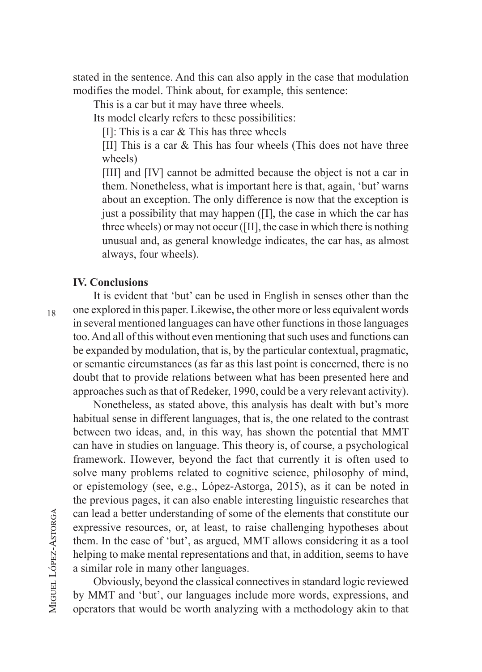stated in the sentence. And this can also apply in the case that modulation modifies the model. Think about, for example, this sentence:

This is a car but it may have three wheels.

Its model clearly refers to these possibilities:

[I]: This is a car & This has three wheels

[II] This is a car & This has four wheels (This does not have three wheels)

[III] and [IV] cannot be admitted because the object is not a car in them. Nonetheless, what is important here is that, again, 'but' warns about an exception. The only difference is now that the exception is just a possibility that may happen ([I], the case in which the car has three wheels) or may not occur ([II], the case in which there is nothing unusual and, as general knowledge indicates, the car has, as almost always, four wheels).

#### **IV. Conclusions**

It is evident that 'but' can be used in English in senses other than the one explored in this paper. Likewise, the other more or less equivalent words in several mentioned languages can have other functions in those languages too. And all of this without even mentioning that such uses and functions can be expanded by modulation, that is, by the particular contextual, pragmatic, or semantic circumstances (as far as this last point is concerned, there is no doubt that to provide relations between what has been presented here and approaches such as that of Redeker, 1990, could be a very relevant activity).

Nonetheless, as stated above, this analysis has dealt with but's more habitual sense in different languages, that is, the one related to the contrast between two ideas, and, in this way, has shown the potential that MMT can have in studies on language. This theory is, of course, a psychological framework. However, beyond the fact that currently it is often used to solve many problems related to cognitive science, philosophy of mind, or epistemology (see, e.g., López-Astorga, 2015), as it can be noted in the previous pages, it can also enable interesting linguistic researches that can lead a better understanding of some of the elements that constitute our expressive resources, or, at least, to raise challenging hypotheses about them. In the case of 'but', as argued, MMT allows considering it as a tool helping to make mental representations and that, in addition, seems to have a similar role in many other languages.

Obviously, beyond the classical connectives in standard logic reviewed by MMT and 'but', our languages include more words, expressions, and operators that would be worth analyzing with a methodology akin to that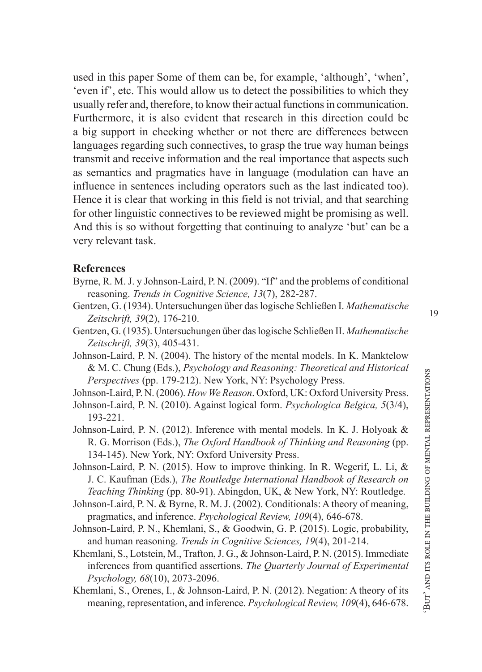used in this paper Some of them can be, for example, 'although', 'when', 'even if', etc. This would allow us to detect the possibilities to which they usually refer and, therefore, to know their actual functions in communication. Furthermore, it is also evident that research in this direction could be a big support in checking whether or not there are differences between languages regarding such connectives, to grasp the true way human beings transmit and receive information and the real importance that aspects such as semantics and pragmatics have in language (modulation can have an influence in sentences including operators such as the last indicated too). Hence it is clear that working in this field is not trivial, and that searching for other linguistic connectives to be reviewed might be promising as well. And this is so without forgetting that continuing to analyze 'but' can be a very relevant task.

#### **References**

- Byrne, R. M. J. y Johnson-Laird, P. N. (2009). "If" and the problems of conditional reasoning. *Trends in Cognitive Science, 13*(7), 282-287.
- Gentzen, G. (1934). Untersuchungen über das logische Schließen I. *Mathematische Zeitschrift, 39*(2), 176-210.
- Gentzen, G. (1935). Untersuchungen über das logische Schließen II. *Mathematische Zeitschrift, 39*(3), 405-431.
- Johnson-Laird, P. N. (2004). The history of the mental models. In K. Manktelow & M. C. Chung (Eds.), *Psychology and Reasoning: Theoretical and Historical Perspectives* (pp. 179-212). New York, NY: Psychology Press.
- Johnson-Laird, P. N. (2006). *How We Reason*. Oxford, UK: Oxford University Press.
- Johnson-Laird, P. N. (2010). Against logical form. *Psychologica Belgica, 5*(3/4), 193-221.
- Johnson-Laird, P. N. (2012). Inference with mental models. In K. J. Holyoak & R. G. Morrison (Eds.), *The Oxford Handbook of Thinking and Reasoning* (pp. 134-145). New York, NY: Oxford University Press.
- Johnson-Laird, P. N. (2015). How to improve thinking. In R. Wegerif, L. Li, & J. C. Kaufman (Eds.), *The Routledge International Handbook of Research on Teaching Thinking* (pp. 80-91). Abingdon, UK, & New York, NY: Routledge.
- Johnson-Laird, P. N. & Byrne, R. M. J. (2002). Conditionals: A theory of meaning, pragmatics, and inference. *Psychological Review, 109*(4), 646-678.
- Johnson-Laird, P. N., Khemlani, S., & Goodwin, G. P. (2015). Logic, probability, and human reasoning. *Trends in Cognitive Sciences, 19*(4), 201-214.
- Khemlani, S., Lotstein, M., Trafton, J. G., & Johnson-Laird, P. N. (2015). Immediate inferences from quantified assertions. *The Quarterly Journal of Experimental Psychology, 68*(10), 2073-2096.
- Khemlani, S., Orenes, I., & Johnson-Laird, P. N. (2012). Negation: A theory of its meaning, representation, and inference. *Psychological Review, 109*(4), 646-678.